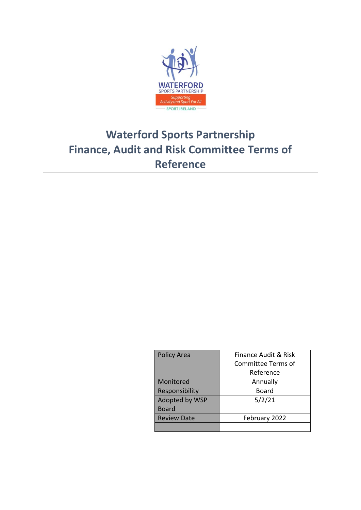

# **Waterford Sports Partnership Finance, Audit and Risk Committee Terms of Reference**

| <b>Policy Area</b> | <b>Finance Audit &amp; Risk</b> |
|--------------------|---------------------------------|
|                    | Committee Terms of              |
|                    | Reference                       |
| Monitored          | Annually                        |
| Responsibility     | Board                           |
| Adopted by WSP     | 5/2/21                          |
| <b>Board</b>       |                                 |
| <b>Review Date</b> | February 2022                   |
|                    |                                 |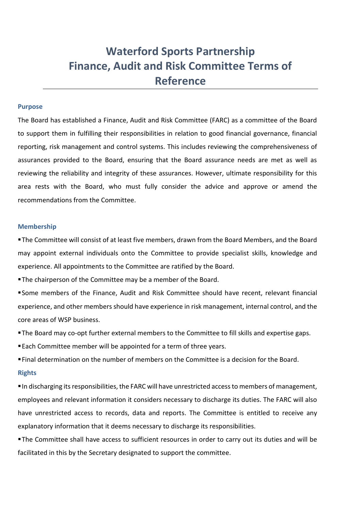# **Waterford Sports Partnership Finance, Audit and Risk Committee Terms of Reference**

#### **Purpose**

The Board has established a Finance, Audit and Risk Committee (FARC) as a committee of the Board to support them in fulfilling their responsibilities in relation to good financial governance, financial reporting, risk management and control systems. This includes reviewing the comprehensiveness of assurances provided to the Board, ensuring that the Board assurance needs are met as well as reviewing the reliability and integrity of these assurances. However, ultimate responsibility for this area rests with the Board, who must fully consider the advice and approve or amend the recommendations from the Committee.

#### **Membership**

▪The Committee will consist of at least five members, drawn from the Board Members, and the Board may appoint external individuals onto the Committee to provide specialist skills, knowledge and experience. All appointments to the Committee are ratified by the Board.

**The chairperson of the Committee may be a member of the Board.** 

▪Some members of the Finance, Audit and Risk Committee should have recent, relevant financial experience, and other members should have experience in risk management, internal control, and the core areas of WSP business.

**The Board may co-opt further external members to the Committee to fill skills and expertise gaps.** 

■ Each Committee member will be appointed for a term of three years.

▪Final determination on the number of members on the Committee is a decision for the Board.

#### **Rights**

▪In discharging its responsibilities, the FARC will have unrestricted access to members of management, employees and relevant information it considers necessary to discharge its duties. The FARC will also have unrestricted access to records, data and reports. The Committee is entitled to receive any explanatory information that it deems necessary to discharge its responsibilities.

**The Committee shall have access to sufficient resources in order to carry out its duties and will be** facilitated in this by the Secretary designated to support the committee.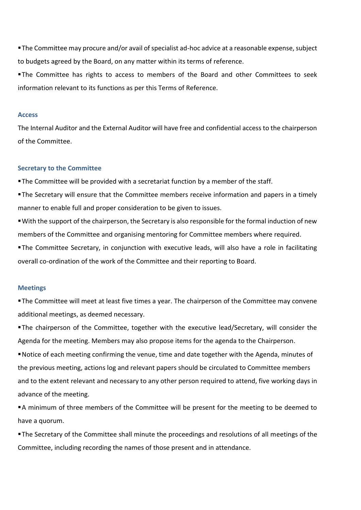▪The Committee may procure and/or avail of specialist ad-hoc advice at a reasonable expense, subject to budgets agreed by the Board, on any matter within its terms of reference.

**The Committee has rights to access to members of the Board and other Committees to seek** information relevant to its functions as per this Terms of Reference.

#### **Access**

The Internal Auditor and the External Auditor will have free and confidential access to the chairperson of the Committee.

#### **Secretary to the Committee**

**The Committee will be provided with a secretariat function by a member of the staff.** 

- **The Secretary will ensure that the Committee members receive information and papers in a timely** manner to enable full and proper consideration to be given to issues.
- ▪With the support of the chairperson, the Secretary is also responsible for the formal induction of new members of the Committee and organising mentoring for Committee members where required.
- **The Committee Secretary, in conjunction with executive leads, will also have a role in facilitating** overall co-ordination of the work of the Committee and their reporting to Board.

# **Meetings**

**The Committee will meet at least five times a year. The chairperson of the Committee may convene** additional meetings, as deemed necessary.

▪The chairperson of the Committee, together with the executive lead/Secretary, will consider the Agenda for the meeting. Members may also propose items for the agenda to the Chairperson.

▪Notice of each meeting confirming the venue, time and date together with the Agenda, minutes of the previous meeting, actions log and relevant papers should be circulated to Committee members and to the extent relevant and necessary to any other person required to attend, five working days in advance of the meeting.

▪A minimum of three members of the Committee will be present for the meeting to be deemed to have a quorum.

**The Secretary of the Committee shall minute the proceedings and resolutions of all meetings of the** Committee, including recording the names of those present and in attendance.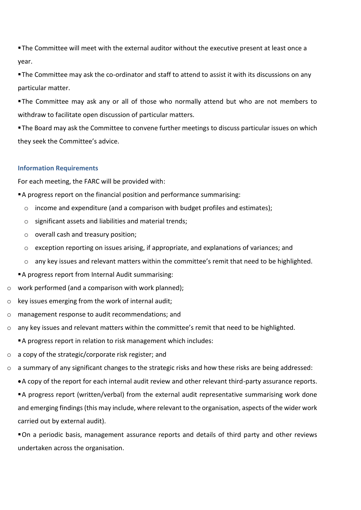**The Committee will meet with the external auditor without the executive present at least once a** year.

■ The Committee may ask the co-ordinator and staff to attend to assist it with its discussions on any particular matter.

**The Committee may ask any or all of those who normally attend but who are not members to** withdraw to facilitate open discussion of particular matters.

**The Board may ask the Committee to convene further meetings to discuss particular issues on which** they seek the Committee's advice.

# **Information Requirements**

For each meeting, the FARC will be provided with:

- A progress report on the financial position and performance summarising:
	- o income and expenditure (and a comparison with budget profiles and estimates);
	- o significant assets and liabilities and material trends;
	- o overall cash and treasury position;
	- o exception reporting on issues arising, if appropriate, and explanations of variances; and
	- o any key issues and relevant matters within the committee's remit that need to be highlighted.
- A progress report from Internal Audit summarising:
- o work performed (and a comparison with work planned);
- o key issues emerging from the work of internal audit;
- o management response to audit recommendations; and
- o any key issues and relevant matters within the committee's remit that need to be highlighted.
	- A progress report in relation to risk management which includes:
- o a copy of the strategic/corporate risk register; and
- o a summary of any significant changes to the strategic risks and how these risks are being addressed:
	- •A copy of the report for each internal audit review and other relevant third-party assurance reports.

▪A progress report (written/verbal) from the external audit representative summarising work done and emerging findings (this may include, where relevant to the organisation, aspects of the wider work carried out by external audit).

▪On a periodic basis, management assurance reports and details of third party and other reviews undertaken across the organisation.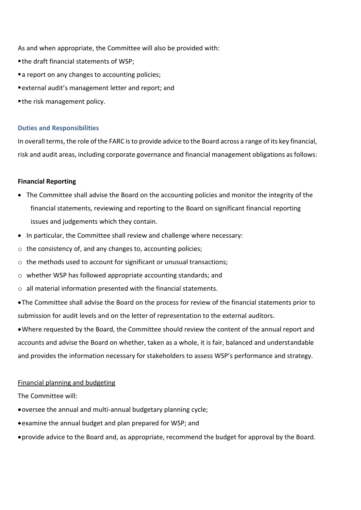As and when appropriate, the Committee will also be provided with:

- the draft financial statements of WSP;
- a report on any changes to accounting policies;
- ▪external audit's management letter and report; and
- the risk management policy.

# **Duties and Responsibilities**

In overall terms, the role of the FARC is to provide advice to the Board across a range of its key financial, risk and audit areas, including corporate governance and financial management obligations as follows:

# **Financial Reporting**

- The Committee shall advise the Board on the accounting policies and monitor the integrity of the financial statements, reviewing and reporting to the Board on significant financial reporting issues and judgements which they contain.
- In particular, the Committee shall review and challenge where necessary:
- o the consistency of, and any changes to, accounting policies;
- $\circ$  the methods used to account for significant or unusual transactions;
- $\circ$  whether WSP has followed appropriate accounting standards; and
- o all material information presented with the financial statements.
- •The Committee shall advise the Board on the process for review of the financial statements prior to submission for audit levels and on the letter of representation to the external auditors.

•Where requested by the Board, the Committee should review the content of the annual report and accounts and advise the Board on whether, taken as a whole, it is fair, balanced and understandable and provides the information necessary for stakeholders to assess WSP's performance and strategy.

# Financial planning and budgeting

The Committee will:

- •oversee the annual and multi-annual budgetary planning cycle;
- •examine the annual budget and plan prepared for WSP; and
- •provide advice to the Board and, as appropriate, recommend the budget for approval by the Board.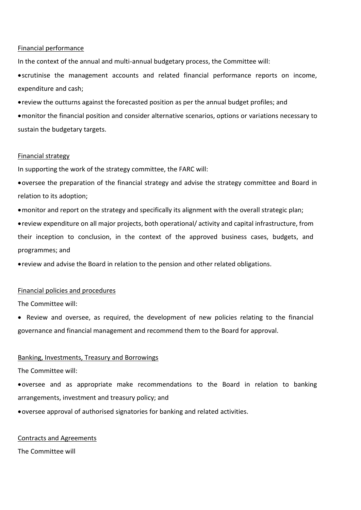# Financial performance

In the context of the annual and multi-annual budgetary process, the Committee will:

•scrutinise the management accounts and related financial performance reports on income, expenditure and cash;

•review the outturns against the forecasted position as per the annual budget profiles; and

•monitor the financial position and consider alternative scenarios, options or variations necessary to sustain the budgetary targets.

## Financial strategy

In supporting the work of the strategy committee, the FARC will:

•oversee the preparation of the financial strategy and advise the strategy committee and Board in relation to its adoption;

•monitor and report on the strategy and specifically its alignment with the overall strategic plan;

•review expenditure on all major projects, both operational/ activity and capital infrastructure, from their inception to conclusion, in the context of the approved business cases, budgets, and programmes; and

•review and advise the Board in relation to the pension and other related obligations.

# Financial policies and procedures

The Committee will:

• Review and oversee, as required, the development of new policies relating to the financial governance and financial management and recommend them to the Board for approval.

# Banking, Investments, Treasury and Borrowings

The Committee will:

•oversee and as appropriate make recommendations to the Board in relation to banking arrangements, investment and treasury policy; and

•oversee approval of authorised signatories for banking and related activities.

## Contracts and Agreements

The Committee will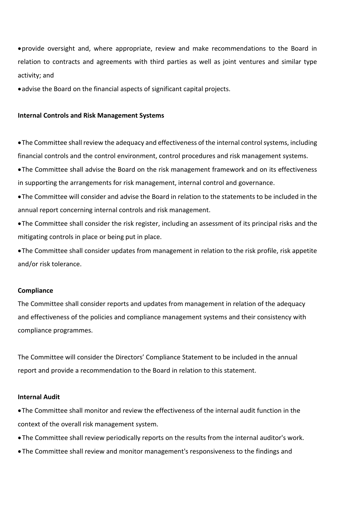•provide oversight and, where appropriate, review and make recommendations to the Board in relation to contracts and agreements with third parties as well as joint ventures and similar type activity; and

•advise the Board on the financial aspects of significant capital projects.

## **Internal Controls and Risk Management Systems**

•The Committee shall review the adequacy and effectiveness of the internal control systems, including financial controls and the control environment, control procedures and risk management systems.

•The Committee shall advise the Board on the risk management framework and on its effectiveness in supporting the arrangements for risk management, internal control and governance.

•The Committee will consider and advise the Board in relation to the statements to be included in the annual report concerning internal controls and risk management.

•The Committee shall consider the risk register, including an assessment of its principal risks and the mitigating controls in place or being put in place.

•The Committee shall consider updates from management in relation to the risk profile, risk appetite and/or risk tolerance.

# **Compliance**

The Committee shall consider reports and updates from management in relation of the adequacy and effectiveness of the policies and compliance management systems and their consistency with compliance programmes.

The Committee will consider the Directors' Compliance Statement to be included in the annual report and provide a recommendation to the Board in relation to this statement.

# **Internal Audit**

•The Committee shall monitor and review the effectiveness of the internal audit function in the context of the overall risk management system.

- The Committee shall review periodically reports on the results from the internal auditor's work.
- The Committee shall review and monitor management's responsiveness to the findings and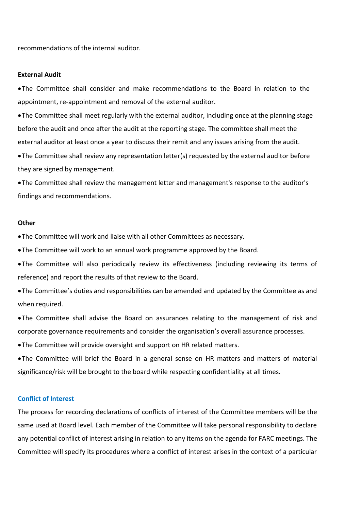recommendations of the internal auditor.

#### **External Audit**

•The Committee shall consider and make recommendations to the Board in relation to the appointment, re-appointment and removal of the external auditor.

•The Committee shall meet regularly with the external auditor, including once at the planning stage before the audit and once after the audit at the reporting stage. The committee shall meet the external auditor at least once a year to discuss their remit and any issues arising from the audit.

•The Committee shall review any representation letter(s) requested by the external auditor before they are signed by management.

•The Committee shall review the management letter and management's response to the auditor's findings and recommendations.

#### **Other**

•The Committee will work and liaise with all other Committees as necessary.

•The Committee will work to an annual work programme approved by the Board.

•The Committee will also periodically review its effectiveness (including reviewing its terms of reference) and report the results of that review to the Board.

•The Committee's duties and responsibilities can be amended and updated by the Committee as and when required.

•The Committee shall advise the Board on assurances relating to the management of risk and corporate governance requirements and consider the organisation's overall assurance processes.

•The Committee will provide oversight and support on HR related matters.

•The Committee will brief the Board in a general sense on HR matters and matters of material significance/risk will be brought to the board while respecting confidentiality at all times.

#### **Conflict of Interest**

The process for recording declarations of conflicts of interest of the Committee members will be the same used at Board level. Each member of the Committee will take personal responsibility to declare any potential conflict of interest arising in relation to any items on the agenda for FARC meetings. The Committee will specify its procedures where a conflict of interest arises in the context of a particular